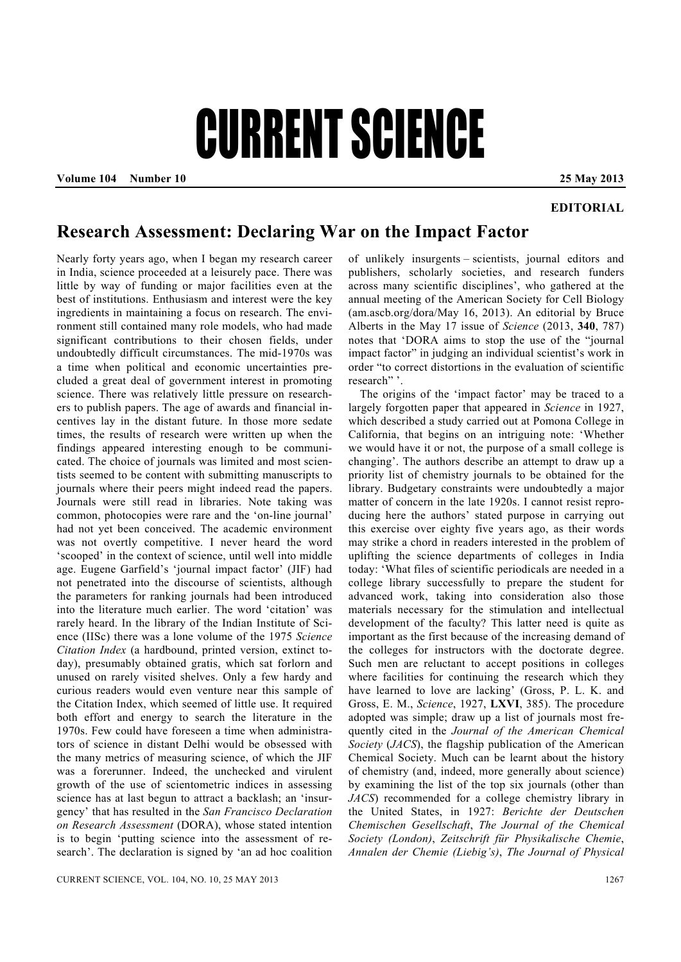## CURRENT SCIENCE

**Volume 104 Number 10 25 May 2013** 

## **EDITORIAL**

## **Research Assessment: Declaring War on the Impact Factor**

Nearly forty years ago, when I began my research career in India, science proceeded at a leisurely pace. There was little by way of funding or major facilities even at the best of institutions. Enthusiasm and interest were the key ingredients in maintaining a focus on research. The environment still contained many role models, who had made significant contributions to their chosen fields, under undoubtedly difficult circumstances. The mid-1970s was a time when political and economic uncertainties precluded a great deal of government interest in promoting science. There was relatively little pressure on researchers to publish papers. The age of awards and financial incentives lay in the distant future. In those more sedate times, the results of research were written up when the findings appeared interesting enough to be communicated. The choice of journals was limited and most scientists seemed to be content with submitting manuscripts to journals where their peers might indeed read the papers. Journals were still read in libraries. Note taking was common, photocopies were rare and the 'on-line journal' had not yet been conceived. The academic environment was not overtly competitive. I never heard the word 'scooped' in the context of science, until well into middle age. Eugene Garfield's 'journal impact factor' (JIF) had not penetrated into the discourse of scientists, although the parameters for ranking journals had been introduced into the literature much earlier. The word 'citation' was rarely heard. In the library of the Indian Institute of Science (IISc) there was a lone volume of the 1975 *Science Citation Index* (a hardbound, printed version, extinct today), presumably obtained gratis, which sat forlorn and unused on rarely visited shelves. Only a few hardy and curious readers would even venture near this sample of the Citation Index, which seemed of little use. It required both effort and energy to search the literature in the 1970s. Few could have foreseen a time when administrators of science in distant Delhi would be obsessed with the many metrics of measuring science, of which the JIF was a forerunner. Indeed, the unchecked and virulent growth of the use of scientometric indices in assessing science has at last begun to attract a backlash; an 'insurgency' that has resulted in the *San Francisco Declaration on Research Assessment* (DORA), whose stated intention is to begin 'putting science into the assessment of research'. The declaration is signed by 'an ad hoc coalition

of unlikely insurgents – scientists, journal editors and publishers, scholarly societies, and research funders across many scientific disciplines', who gathered at the annual meeting of the American Society for Cell Biology (am.ascb.org/dora/May 16, 2013). An editorial by Bruce Alberts in the May 17 issue of *Science* (2013, **340**, 787) notes that 'DORA aims to stop the use of the "journal impact factor" in judging an individual scientist's work in order "to correct distortions in the evaluation of scientific research" '.

 The origins of the 'impact factor' may be traced to a largely forgotten paper that appeared in *Science* in 1927, which described a study carried out at Pomona College in California, that begins on an intriguing note: 'Whether we would have it or not, the purpose of a small college is changing'. The authors describe an attempt to draw up a priority list of chemistry journals to be obtained for the library. Budgetary constraints were undoubtedly a major matter of concern in the late 1920s. I cannot resist reproducing here the authors' stated purpose in carrying out this exercise over eighty five years ago, as their words may strike a chord in readers interested in the problem of uplifting the science departments of colleges in India today: 'What files of scientific periodicals are needed in a college library successfully to prepare the student for advanced work, taking into consideration also those materials necessary for the stimulation and intellectual development of the faculty? This latter need is quite as important as the first because of the increasing demand of the colleges for instructors with the doctorate degree. Such men are reluctant to accept positions in colleges where facilities for continuing the research which they have learned to love are lacking' (Gross, P. L. K. and Gross, E. M., *Science*, 1927, **LXVI**, 385). The procedure adopted was simple; draw up a list of journals most frequently cited in the *Journal of the American Chemical Society* (*JACS*), the flagship publication of the American Chemical Society. Much can be learnt about the history of chemistry (and, indeed, more generally about science) by examining the list of the top six journals (other than *JACS*) recommended for a college chemistry library in the United States, in 1927: *Berichte der Deutschen Chemischen Gesellschaft*, *The Journal of the Chemical Society (London)*, *Zeitschrift für Physikalische Chemie*, *Annalen der Chemie (Liebig's)*, *The Journal of Physical*